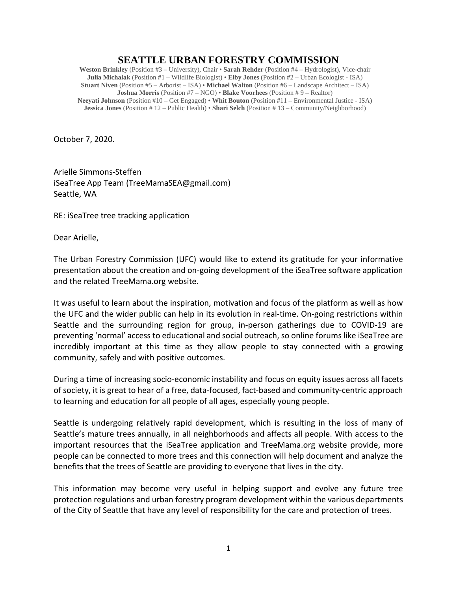## **SEATTLE URBAN FORESTRY COMMISSION**

**Weston Brinkley** (Position #3 – University), Chair • **Sarah Rehder** (Position #4 – Hydrologist), Vice-chair **Julia Michalak** (Position #1 – Wildlife Biologist) • **Elby Jones** (Position #2 – Urban Ecologist - ISA) **Stuart Niven** (Position #5 – Arborist – ISA) • **Michael Walton** (Position #6 – Landscape Architect – ISA) **Joshua Morris** (Position #7 – NGO) • **Blake Voorhees** (Position # 9 – Realtor) **Neeyati Johnson** (Position #10 – Get Engaged) • **Whit Bouton** (Position #11 – Environmental Justice - ISA) **Jessica Jones** (Position # 12 – Public Health) • **Shari Selch** (Position # 13 – Community/Neighborhood)

October 7, 2020.

Arielle Simmons-Steffen iSeaTree App Team (TreeMamaSEA@gmail.com) Seattle, WA

RE: iSeaTree tree tracking application

Dear Arielle,

The Urban Forestry Commission (UFC) would like to extend its gratitude for your informative presentation about the creation and on-going development of the iSeaTree software application and the related TreeMama.org website.

It was useful to learn about the inspiration, motivation and focus of the platform as well as how the UFC and the wider public can help in its evolution in real-time. On-going restrictions within Seattle and the surrounding region for group, in-person gatherings due to COVID-19 are preventing 'normal' access to educational and social outreach, so online forums like iSeaTree are incredibly important at this time as they allow people to stay connected with a growing community, safely and with positive outcomes.

During a time of increasing socio-economic instability and focus on equity issues across all facets of society, it is great to hear of a free, data-focused, fact-based and community-centric approach to learning and education for all people of all ages, especially young people.

Seattle is undergoing relatively rapid development, which is resulting in the loss of many of Seattle's mature trees annually, in all neighborhoods and affects all people. With access to the important resources that the iSeaTree application and TreeMama.org website provide, more people can be connected to more trees and this connection will help document and analyze the benefits that the trees of Seattle are providing to everyone that lives in the city.

This information may become very useful in helping support and evolve any future tree protection regulations and urban forestry program development within the various departments of the City of Seattle that have any level of responsibility for the care and protection of trees.